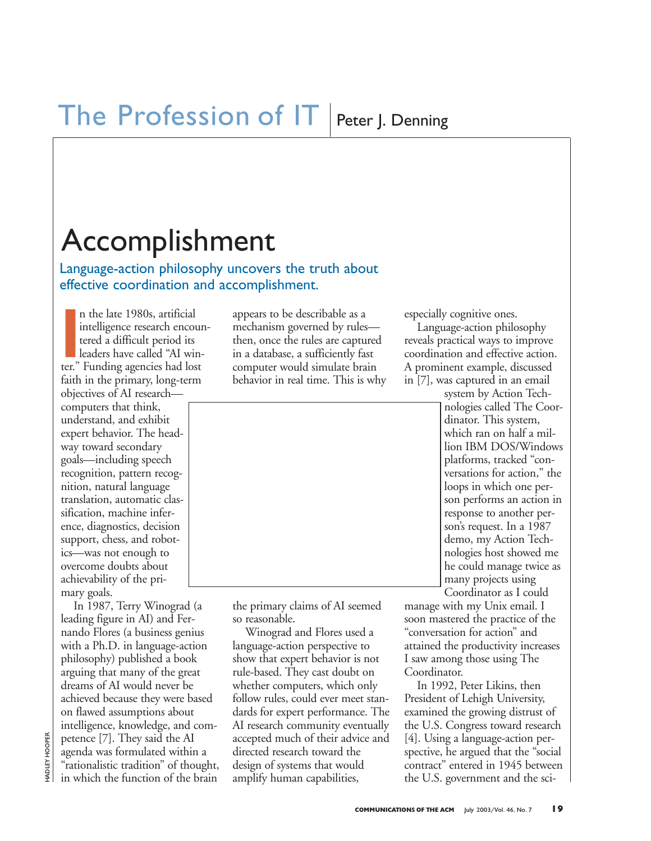# Accomplishment

Language-action philosophy uncovers the truth about effective coordination and accomplishment.

n the late 1980s, artificial<br>
intelligence research encou<br>
tered a difficult period its<br>
leaders have called "AI win<br>
ter." Funding agencies had lost n the late 1980s, artificial intelligence research encountered a difficult period its leaders have called "AI winfaith in the primary, long-term objectives of AI research computers that think, understand, and exhibit expert behavior. The headway toward secondary goals—including speech recognition, pattern recognition, natural language translation, automatic classification, machine inference, diagnostics, decision support, chess, and robotics—was not enough to overcome doubts about achievability of the primary goals.

In 1987, Terry Winograd (a leading figure in AI) and Fernando Flores (a business genius with a Ph.D. in language-action philosophy) published a book arguing that many of the great dreams of AI would never be achieved because they were based on flawed assumptions about intelligence, knowledge, and competence [7]. They said the AI agenda was formulated within a "rationalistic tradition" of thought, in which the function of the brain

appears to be describable as a mechanism governed by rules then, once the rules are captured in a database, a sufficiently fast computer would simulate brain behavior in real time. This is why



the primary claims of AI seemed so reasonable.

Winograd and Flores used a language-action perspective to show that expert behavior is not rule-based. They cast doubt on whether computers, which only follow rules, could ever meet standards for expert performance. The AI research community eventually accepted much of their advice and directed research toward the design of systems that would amplify human capabilities,

especially cognitive ones.

Language-action philosophy reveals practical ways to improve coordination and effective action. A prominent example, discussed in [7], was captured in an email

> system by Action Technologies called The Coordinator. This system, which ran on half a million IBM DOS/Windows platforms, tracked "conversations for action," the loops in which one person performs an action in response to another person's request. In a 1987 demo, my Action Technologies host showed me he could manage twice as many projects using Coordinator as I could

manage with my Unix email. I soon mastered the practice of the "conversation for action" and attained the productivity increases I saw among those using The Coordinator.

In 1992, Peter Likins, then President of Lehigh University, examined the growing distrust of the U.S. Congress toward research [4]. Using a language-action perspective, he argued that the "social contract" entered in 1945 between the U.S. government and the sci-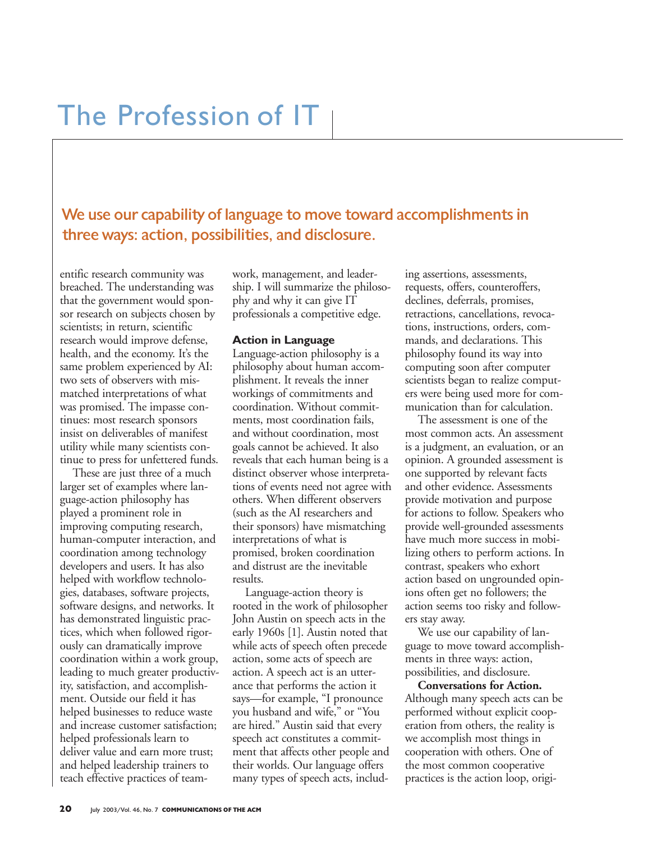## The Profession of IT

We use our capability of language to move toward accomplishments in three ways: action, possibilities, and disclosure.

entific research community was breached. The understanding was that the government would sponsor research on subjects chosen by scientists; in return, scientific research would improve defense, health, and the economy. It's the same problem experienced by AI: two sets of observers with mismatched interpretations of what was promised. The impasse continues: most research sponsors insist on deliverables of manifest utility while many scientists continue to press for unfettered funds.

These are just three of a much larger set of examples where language-action philosophy has played a prominent role in improving computing research, human-computer interaction, and coordination among technology developers and users. It has also helped with workflow technologies, databases, software projects, software designs, and networks. It has demonstrated linguistic practices, which when followed rigorously can dramatically improve coordination within a work group, leading to much greater productivity, satisfaction, and accomplishment. Outside our field it has helped businesses to reduce waste and increase customer satisfaction; helped professionals learn to deliver value and earn more trust; and helped leadership trainers to teach effective practices of teamwork, management, and leadership. I will summarize the philosophy and why it can give IT professionals a competitive edge.

#### **Action in Language**

Language-action philosophy is a philosophy about human accomplishment. It reveals the inner workings of commitments and coordination. Without commitments, most coordination fails, and without coordination, most goals cannot be achieved. It also reveals that each human being is a distinct observer whose interpretations of events need not agree with others. When different observers (such as the AI researchers and their sponsors) have mismatching interpretations of what is promised, broken coordination and distrust are the inevitable results.

Language-action theory is rooted in the work of philosopher John Austin on speech acts in the early 1960s [1]. Austin noted that while acts of speech often precede action, some acts of speech are action. A speech act is an utterance that performs the action it says—for example, "I pronounce you husband and wife," or "You are hired." Austin said that every speech act constitutes a commitment that affects other people and their worlds. Our language offers many types of speech acts, including assertions, assessments, requests, offers, counteroffers, declines, deferrals, promises, retractions, cancellations, revocations, instructions, orders, commands, and declarations. This philosophy found its way into computing soon after computer scientists began to realize computers were being used more for communication than for calculation.

The assessment is one of the most common acts. An assessment is a judgment, an evaluation, or an opinion. A grounded assessment is one supported by relevant facts and other evidence. Assessments provide motivation and purpose for actions to follow. Speakers who provide well-grounded assessments have much more success in mobilizing others to perform actions. In contrast, speakers who exhort action based on ungrounded opinions often get no followers; the action seems too risky and followers stay away.

We use our capability of language to move toward accomplishments in three ways: action, possibilities, and disclosure.

**Conversations for Action.** Although many speech acts can be performed without explicit cooperation from others, the reality is we accomplish most things in cooperation with others. One of the most common cooperative practices is the action loop, origi-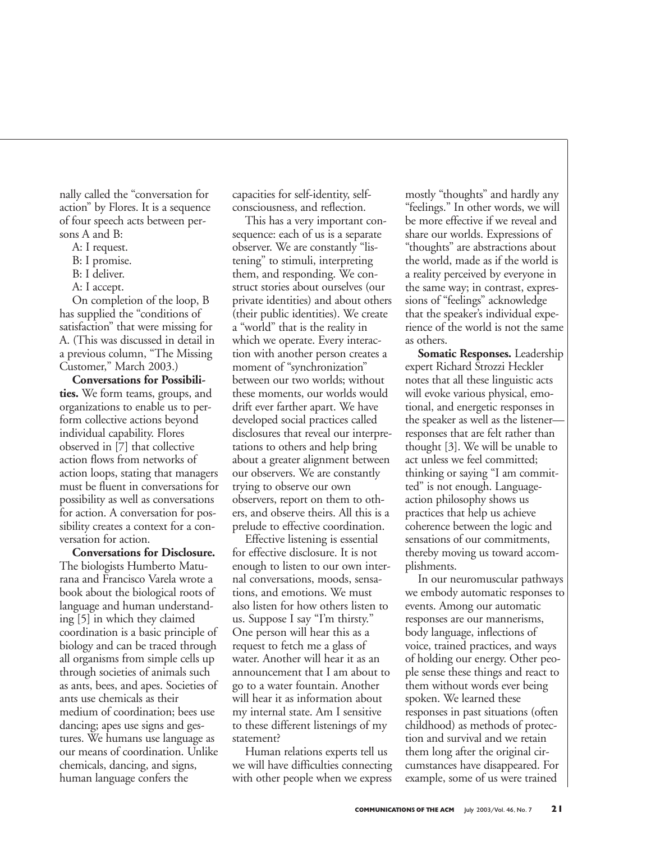nally called the "conversation for action" by Flores. It is a sequence of four speech acts between persons A and B:

- A: I request.
- B: I promise.
- B: I deliver.
- A: I accept.

On completion of the loop, B has supplied the "conditions of satisfaction" that were missing for A. (This was discussed in detail in a previous column, "The Missing Customer," March 2003.)

**Conversations for Possibilities.** We form teams, groups, and organizations to enable us to perform collective actions beyond individual capability. Flores observed in [7] that collective action flows from networks of action loops, stating that managers must be fluent in conversations for possibility as well as conversations for action. A conversation for possibility creates a context for a conversation for action.

**Conversations for Disclosure.** The biologists Humberto Maturana and Francisco Varela wrote a book about the biological roots of language and human understanding [5] in which they claimed coordination is a basic principle of biology and can be traced through all organisms from simple cells up through societies of animals such as ants, bees, and apes. Societies of ants use chemicals as their medium of coordination; bees use dancing; apes use signs and gestures. We humans use language as our means of coordination. Unlike chemicals, dancing, and signs, human language confers the

capacities for self-identity, selfconsciousness, and reflection.

This has a very important consequence: each of us is a separate observer. We are constantly "listening" to stimuli, interpreting them, and responding. We construct stories about ourselves (our private identities) and about others (their public identities). We create a "world" that is the reality in which we operate. Every interaction with another person creates a moment of "synchronization" between our two worlds; without these moments, our worlds would drift ever farther apart. We have developed social practices called disclosures that reveal our interpretations to others and help bring about a greater alignment between our observers. We are constantly trying to observe our own observers, report on them to others, and observe theirs. All this is a prelude to effective coordination.

Effective listening is essential for effective disclosure. It is not enough to listen to our own internal conversations, moods, sensations, and emotions. We must also listen for how others listen to us. Suppose I say "I'm thirsty." One person will hear this as a request to fetch me a glass of water. Another will hear it as an announcement that I am about to go to a water fountain. Another will hear it as information about my internal state. Am I sensitive to these different listenings of my statement?

Human relations experts tell us we will have difficulties connecting with other people when we express

mostly "thoughts" and hardly any "feelings." In other words, we will be more effective if we reveal and share our worlds. Expressions of "thoughts" are abstractions about the world, made as if the world is a reality perceived by everyone in the same way; in contrast, expressions of "feelings" acknowledge that the speaker's individual experience of the world is not the same as others.

**Somatic Responses.** Leadership expert Richard Strozzi Heckler notes that all these linguistic acts will evoke various physical, emotional, and energetic responses in the speaker as well as the listener responses that are felt rather than thought [3]. We will be unable to act unless we feel committed; thinking or saying "I am committed" is not enough. Languageaction philosophy shows us practices that help us achieve coherence between the logic and sensations of our commitments, thereby moving us toward accomplishments.

In our neuromuscular pathways we embody automatic responses to events. Among our automatic responses are our mannerisms, body language, inflections of voice, trained practices, and ways of holding our energy. Other people sense these things and react to them without words ever being spoken. We learned these responses in past situations (often childhood) as methods of protection and survival and we retain them long after the original circumstances have disappeared. For example, some of us were trained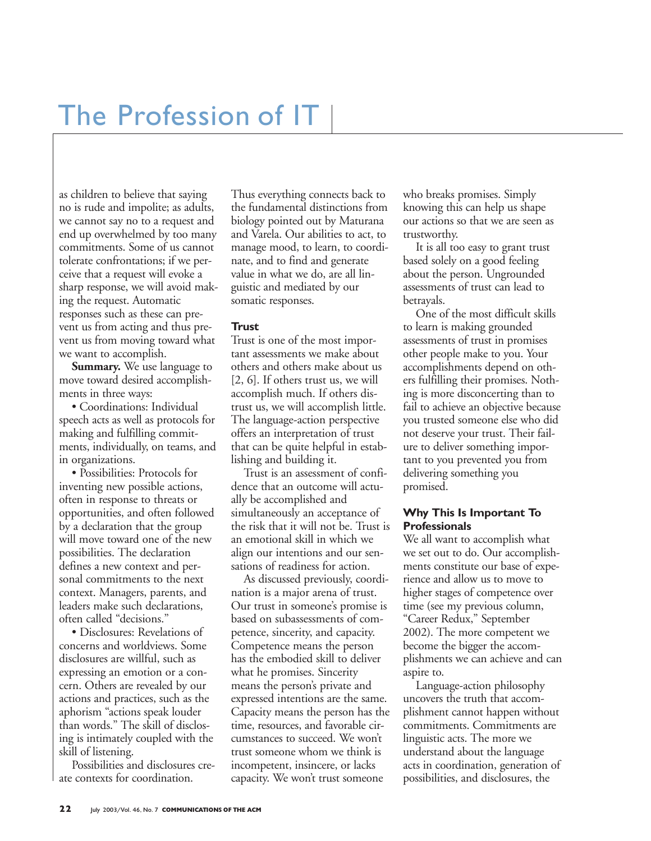# The Profession of IT

as children to believe that saying no is rude and impolite; as adults, we cannot say no to a request and end up overwhelmed by too many commitments. Some of us cannot tolerate confrontations; if we perceive that a request will evoke a sharp response, we will avoid making the request. Automatic responses such as these can prevent us from acting and thus prevent us from moving toward what we want to accomplish.

**Summary.** We use language to move toward desired accomplishments in three ways:

• Coordinations: Individual speech acts as well as protocols for making and fulfilling commitments, individually, on teams, and in organizations.

• Possibilities: Protocols for inventing new possible actions, often in response to threats or opportunities, and often followed by a declaration that the group will move toward one of the new possibilities. The declaration defines a new context and personal commitments to the next context. Managers, parents, and leaders make such declarations, often called "decisions."

• Disclosures: Revelations of concerns and worldviews. Some disclosures are willful, such as expressing an emotion or a concern. Others are revealed by our actions and practices, such as the aphorism "actions speak louder than words." The skill of disclosing is intimately coupled with the skill of listening.

Possibilities and disclosures create contexts for coordination.

Thus everything connects back to the fundamental distinctions from biology pointed out by Maturana and Varela. Our abilities to act, to manage mood, to learn, to coordinate, and to find and generate value in what we do, are all linguistic and mediated by our somatic responses.

#### **Trust**

Trust is one of the most important assessments we make about others and others make about us [2, 6]. If others trust us, we will accomplish much. If others distrust us, we will accomplish little. The language-action perspective offers an interpretation of trust that can be quite helpful in establishing and building it.

Trust is an assessment of confidence that an outcome will actually be accomplished and simultaneously an acceptance of the risk that it will not be. Trust is an emotional skill in which we align our intentions and our sensations of readiness for action.

As discussed previously, coordination is a major arena of trust. Our trust in someone's promise is based on subassessments of competence, sincerity, and capacity. Competence means the person has the embodied skill to deliver what he promises. Sincerity means the person's private and expressed intentions are the same. Capacity means the person has the time, resources, and favorable circumstances to succeed. We won't trust someone whom we think is incompetent, insincere, or lacks capacity. We won't trust someone

who breaks promises. Simply knowing this can help us shape our actions so that we are seen as trustworthy.

It is all too easy to grant trust based solely on a good feeling about the person. Ungrounded assessments of trust can lead to betrayals.

One of the most difficult skills to learn is making grounded assessments of trust in promises other people make to you. Your accomplishments depend on others fulfilling their promises. Nothing is more disconcerting than to fail to achieve an objective because you trusted someone else who did not deserve your trust. Their failure to deliver something important to you prevented you from delivering something you promised.

#### **Why This Is Important To Professionals**

We all want to accomplish what we set out to do. Our accomplishments constitute our base of experience and allow us to move to higher stages of competence over time (see my previous column, "Career Redux," September 2002). The more competent we become the bigger the accomplishments we can achieve and can aspire to.

Language-action philosophy uncovers the truth that accomplishment cannot happen without commitments. Commitments are linguistic acts. The more we understand about the language acts in coordination, generation of possibilities, and disclosures, the